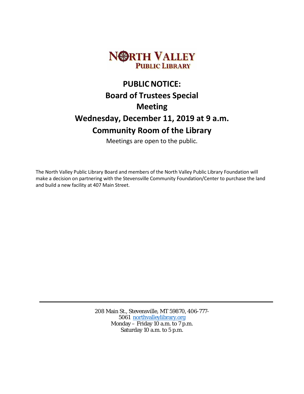

# **PUBLIC NOTICE: Board of Trustees Special Meeting Wednesday, December 11, 2019 at 9 a.m. Community Room of the Library**

Meetings are open to the public.

The North Valley Public Library Board and members of the North Valley Public Library Foundation will make a decision on partnering with the Stevensville Community Foundation/Center to purchase the land and build a new facility at 407 Main Street.

> 208 Main St., Stevensville, MT 59870, 406-777- 5061 [northvalleylibrary.org](http://www.northvalleylibrary.org/) Monday – Friday 10 a.m. to  $7 \text{ p.m.}$ Saturday 10 a.m. to 5 p.m.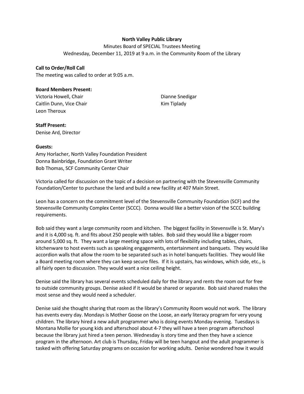# **North Valley Public Library**

Minutes Board of SPECIAL Trustees Meeting Wednesday, December 11, 2019 at 9 a.m. in the Community Room of the Library

### **Call to Order/Roll Call**

The meeting was called to order at 9:05 a.m.

#### **Board Members Present:**

Victoria Howell, Chair Caitlin Dunn, Vice Chair Leon Theroux

Dianne Snedigar Kim Tiplady

#### **Staff Present:**

Denise Ard, Director

## **Guests:**

Amy Horlacher, North Valley Foundation President Donna Bainbridge, Foundation Grant Writer Bob Thomas, SCF Community Center Chair

Victoria called for discussion on the topic of a decision on partnering with the Stevensville Community Foundation/Center to purchase the land and build a new facility at 407 Main Street.

Leon has a concern on the commitment level of the Stevensville Community Foundation (SCF) and the Stevensville Community Complex Center (SCCC). Donna would like a better vision of the SCCC building requirements.

Bob said they want a large community room and kitchen. The biggest facility in Stevensville is St. Mary's and it is 4,000 sq. ft. and fits about 250 people with tables. Bob said they would like a bigger room around 5,000 sq. ft. They want a large meeting space with lots of flexibility including tables, chairs, kitchenware to host events such as speaking engagements, entertainment and banquets. They would like accordion walls that allow the room to be separated such as in hotel banquets facilities. They would like a Board meeting room where they can keep secure files. If it is upstairs, has windows, which side, etc., is all fairly open to discussion. They would want a nice ceiling height.

Denise said the library has several events scheduled daily for the library and rents the room out for free to outside community groups. Denise asked if it would be shared or separate. Bob said shared makes the most sense and they would need a scheduler.

Denise said she thought sharing that room as the library's Community Room would not work. The library has events every day. Mondays is Mother Goose on the Loose, an early literacy program for very young children. The library hired a new adult programmer who is doing events Monday evening. Tuesdays is Montana Mollie for young kids and afterschool about 4-7 they will have a teen program afterschool because the library just hired a teen person. Wednesday is story time and then they have a science program in the afternoon. Art club is Thursday, Friday will be teen hangout and the adult programmer is tasked with offering Saturday programs on occasion for working adults. Denise wondered how it would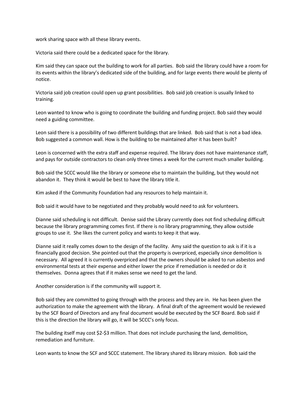work sharing space with all these library events.

Victoria said there could be a dedicated space for the library.

Kim said they can space out the building to work for all parties. Bob said the library could have a room for its events within the library's dedicated side of the building, and for large events there would be plenty of notice.

Victoria said job creation could open up grant possibilities. Bob said job creation is usually linked to training.

Leon wanted to know who is going to coordinate the building and funding project. Bob said they would need a guiding committee.

Leon said there is a possibility of two different buildings that are linked. Bob said that is not a bad idea. Bob suggested a common wall. How is the building to be maintained after it has been built?

Leon is concerned with the extra staff and expense required. The library does not have maintenance staff, and pays for outside contractors to clean only three times a week for the current much smaller building.

Bob said the SCCC would like the library or someone else to maintain the building, but they would not abandon it. They think it would be best to have the library title it.

Kim asked if the Community Foundation had any resources to help maintain it.

Bob said it would have to be negotiated and they probably would need to ask for volunteers.

Dianne said scheduling is not difficult. Denise said the Library currently does not find scheduling difficult because the library programming comes first. If there is no library programming, they allow outside groups to use it. She likes the current policy and wants to keep it that way.

Dianne said it really comes down to the design of the facility. Amy said the question to ask is if it is a financially good decision. She pointed out that the property is overpriced, especially since demolition is necessary. All agreed it is currently overpriced and that the owners should be asked to run asbestos and environmental tests at their expense and either lower the price if remediation is needed or do it themselves. Donna agrees that if it makes sense we need to get the land.

Another consideration is if the community will support it.

Bob said they are committed to going through with the process and they are in. He has been given the authorization to make the agreement with the library. A final draft of the agreement would be reviewed by the SCF Board of Directors and any final document would be executed by the SCF Board. Bob said if this is the direction the library will go, it will be SCCC's only focus.

The building itself may cost \$2-\$3 million. That does not include purchasing the land, demolition, remediation and furniture.

Leon wants to know the SCF and SCCC statement. The library shared its library mission. Bob said the